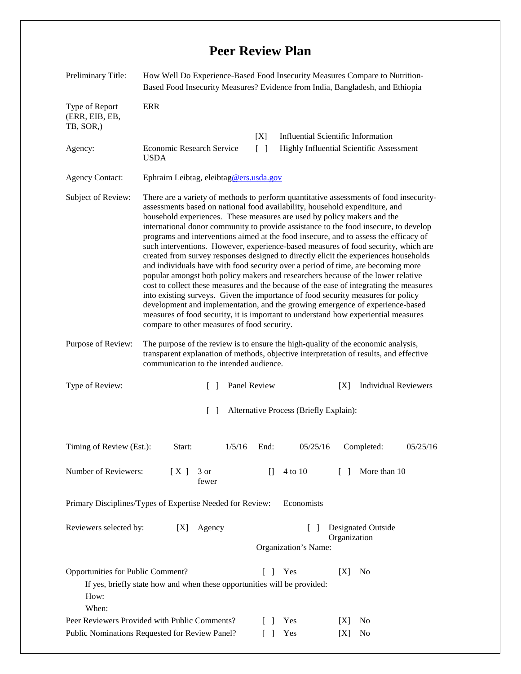## **Peer Review Plan**

| Preliminary Title:                                                                              | How Well Do Experience-Based Food Insecurity Measures Compare to Nutrition-<br>Based Food Insecurity Measures? Evidence from India, Bangladesh, and Ethiopia                                                                                                                                                                                                                                                                                                                                                                                                                                                                                                                                                                                                                                                                                                                                                                                                                                                                                                                                                                                                                               |        |                                                   |                                                                      |                                 |                |          |
|-------------------------------------------------------------------------------------------------|--------------------------------------------------------------------------------------------------------------------------------------------------------------------------------------------------------------------------------------------------------------------------------------------------------------------------------------------------------------------------------------------------------------------------------------------------------------------------------------------------------------------------------------------------------------------------------------------------------------------------------------------------------------------------------------------------------------------------------------------------------------------------------------------------------------------------------------------------------------------------------------------------------------------------------------------------------------------------------------------------------------------------------------------------------------------------------------------------------------------------------------------------------------------------------------------|--------|---------------------------------------------------|----------------------------------------------------------------------|---------------------------------|----------------|----------|
| Type of Report<br>(ERR, EIB, EB,<br>TB, SOR,)                                                   | ERR                                                                                                                                                                                                                                                                                                                                                                                                                                                                                                                                                                                                                                                                                                                                                                                                                                                                                                                                                                                                                                                                                                                                                                                        |        |                                                   |                                                                      |                                 |                |          |
|                                                                                                 |                                                                                                                                                                                                                                                                                                                                                                                                                                                                                                                                                                                                                                                                                                                                                                                                                                                                                                                                                                                                                                                                                                                                                                                            |        | [X]                                               | <b>Influential Scientific Information</b>                            |                                 |                |          |
| Agency:                                                                                         | Economic Research Service<br><b>USDA</b>                                                                                                                                                                                                                                                                                                                                                                                                                                                                                                                                                                                                                                                                                                                                                                                                                                                                                                                                                                                                                                                                                                                                                   |        | $[\ ]$                                            | Highly Influential Scientific Assessment                             |                                 |                |          |
| <b>Agency Contact:</b>                                                                          | Ephraim Leibtag, eleibtag@ers.usda.gov                                                                                                                                                                                                                                                                                                                                                                                                                                                                                                                                                                                                                                                                                                                                                                                                                                                                                                                                                                                                                                                                                                                                                     |        |                                                   |                                                                      |                                 |                |          |
| Subject of Review:                                                                              | There are a variety of methods to perform quantitative assessments of food insecurity-<br>assessments based on national food availability, household expenditure, and<br>household experiences. These measures are used by policy makers and the<br>international donor community to provide assistance to the food insecure, to develop<br>programs and interventions aimed at the food insecure, and to assess the efficacy of<br>such interventions. However, experience-based measures of food security, which are<br>created from survey responses designed to directly elicit the experiences households<br>and individuals have with food security over a period of time, are becoming more<br>popular amongst both policy makers and researchers because of the lower relative<br>cost to collect these measures and the because of the ease of integrating the measures<br>into existing surveys. Given the importance of food security measures for policy<br>development and implementation, and the growing emergence of experience-based<br>measures of food security, it is important to understand how experiential measures<br>compare to other measures of food security. |        |                                                   |                                                                      |                                 |                |          |
| Purpose of Review:                                                                              | The purpose of the review is to ensure the high-quality of the economic analysis,<br>transparent explanation of methods, objective interpretation of results, and effective<br>communication to the intended audience.                                                                                                                                                                                                                                                                                                                                                                                                                                                                                                                                                                                                                                                                                                                                                                                                                                                                                                                                                                     |        |                                                   |                                                                      |                                 |                |          |
| Type of Review:<br>Panel Review<br>$\Box$                                                       |                                                                                                                                                                                                                                                                                                                                                                                                                                                                                                                                                                                                                                                                                                                                                                                                                                                                                                                                                                                                                                                                                                                                                                                            |        |                                                   | <b>Individual Reviewers</b><br>[X]                                   |                                 |                |          |
| Alternative Process (Briefly Explain):<br>$\Box$                                                |                                                                                                                                                                                                                                                                                                                                                                                                                                                                                                                                                                                                                                                                                                                                                                                                                                                                                                                                                                                                                                                                                                                                                                                            |        |                                                   |                                                                      |                                 |                |          |
| Timing of Review (Est.):                                                                        | Start:                                                                                                                                                                                                                                                                                                                                                                                                                                                                                                                                                                                                                                                                                                                                                                                                                                                                                                                                                                                                                                                                                                                                                                                     | 1/5/16 | End:                                              | 05/25/16                                                             |                                 | Completed:     | 05/25/16 |
| Number of Reviewers:                                                                            | [X]<br>3 or<br>fewer                                                                                                                                                                                                                                                                                                                                                                                                                                                                                                                                                                                                                                                                                                                                                                                                                                                                                                                                                                                                                                                                                                                                                                       |        | П                                                 | 4 to 10                                                              | $\begin{bmatrix} \end{bmatrix}$ | More than 10   |          |
| Primary Disciplines/Types of Expertise Needed for Review:<br>Economists                         |                                                                                                                                                                                                                                                                                                                                                                                                                                                                                                                                                                                                                                                                                                                                                                                                                                                                                                                                                                                                                                                                                                                                                                                            |        |                                                   |                                                                      |                                 |                |          |
| Reviewers selected by:<br>Agency<br>[X]                                                         |                                                                                                                                                                                                                                                                                                                                                                                                                                                                                                                                                                                                                                                                                                                                                                                                                                                                                                                                                                                                                                                                                                                                                                                            |        |                                                   | Designated Outside<br>$\Box$<br>Organization<br>Organization's Name: |                                 |                |          |
| Opportunities for Public Comment?<br>How:<br>When:                                              | If yes, briefly state how and when these opportunities will be provided:                                                                                                                                                                                                                                                                                                                                                                                                                                                                                                                                                                                                                                                                                                                                                                                                                                                                                                                                                                                                                                                                                                                   |        | $\Box$                                            | Yes                                                                  | [X]                             | N <sub>0</sub> |          |
| Peer Reviewers Provided with Public Comments?<br>Public Nominations Requested for Review Panel? |                                                                                                                                                                                                                                                                                                                                                                                                                                                                                                                                                                                                                                                                                                                                                                                                                                                                                                                                                                                                                                                                                                                                                                                            |        | $\mathbf{I}$<br>$\begin{bmatrix} 1 \end{bmatrix}$ | Yes<br>Yes                                                           | X <br>[X]                       | No<br>No       |          |
|                                                                                                 |                                                                                                                                                                                                                                                                                                                                                                                                                                                                                                                                                                                                                                                                                                                                                                                                                                                                                                                                                                                                                                                                                                                                                                                            |        |                                                   |                                                                      |                                 |                |          |